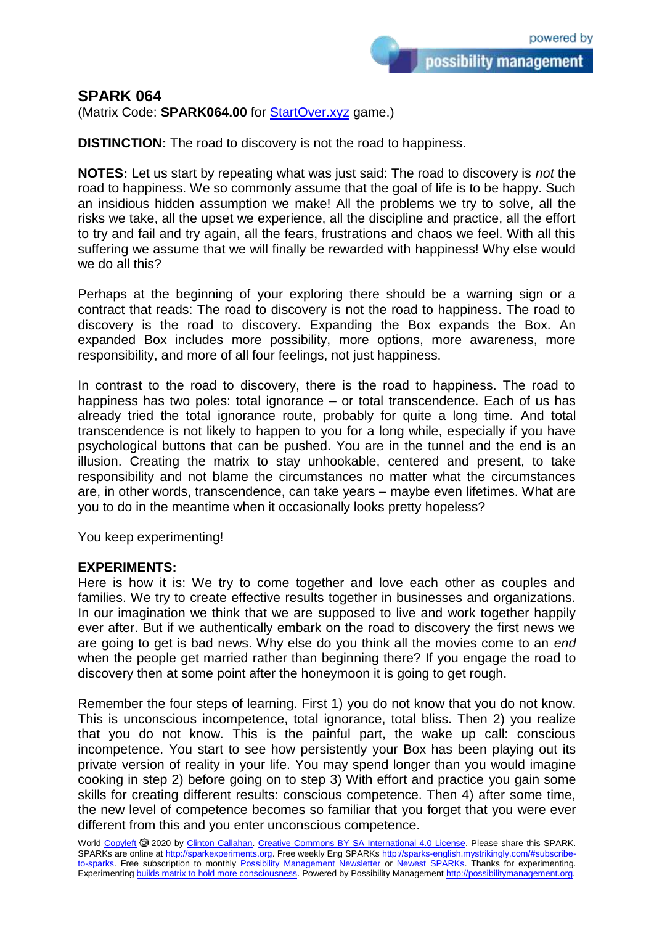possibility management

(Matrix Code: **SPARK064.00** for [StartOver.xyz](https://startoverxyz.mystrikingly.com/) game.)

**DISTINCTION:** The road to discovery is not the road to happiness.

**NOTES:** Let us start by repeating what was just said: The road to discovery is *not* the road to happiness. We so commonly assume that the goal of life is to be happy. Such an insidious hidden assumption we make! All the problems we try to solve, all the risks we take, all the upset we experience, all the discipline and practice, all the effort to try and fail and try again, all the fears, frustrations and chaos we feel. With all this suffering we assume that we will finally be rewarded with happiness! Why else would we do all this?

Perhaps at the beginning of your exploring there should be a warning sign or a contract that reads: The road to discovery is not the road to happiness. The road to discovery is the road to discovery. Expanding the Box expands the Box. An expanded Box includes more possibility, more options, more awareness, more responsibility, and more of all four feelings, not just happiness.

In contrast to the road to discovery, there is the road to happiness. The road to happiness has two poles: total ignorance – or total transcendence. Each of us has already tried the total ignorance route, probably for quite a long time. And total transcendence is not likely to happen to you for a long while, especially if you have psychological buttons that can be pushed. You are in the tunnel and the end is an illusion. Creating the matrix to stay unhookable, centered and present, to take responsibility and not blame the circumstances no matter what the circumstances are, in other words, transcendence, can take years – maybe even lifetimes. What are you to do in the meantime when it occasionally looks pretty hopeless?

You keep experimenting!

## **EXPERIMENTS:**

Here is how it is: We try to come together and love each other as couples and families. We try to create effective results together in businesses and organizations. In our imagination we think that we are supposed to live and work together happily ever after. But if we authentically embark on the road to discovery the first news we are going to get is bad news. Why else do you think all the movies come to an *end* when the people get married rather than beginning there? If you engage the road to discovery then at some point after the honeymoon it is going to get rough.

Remember the four steps of learning. First 1) you do not know that you do not know. This is unconscious incompetence, total ignorance, total bliss. Then 2) you realize that you do not know. This is the painful part, the wake up call: conscious incompetence. You start to see how persistently your Box has been playing out its private version of reality in your life. You may spend longer than you would imagine cooking in step 2) before going on to step 3) With effort and practice you gain some skills for creating different results: conscious competence. Then 4) after some time, the new level of competence becomes so familiar that you forget that you were ever different from this and you enter unconscious competence.